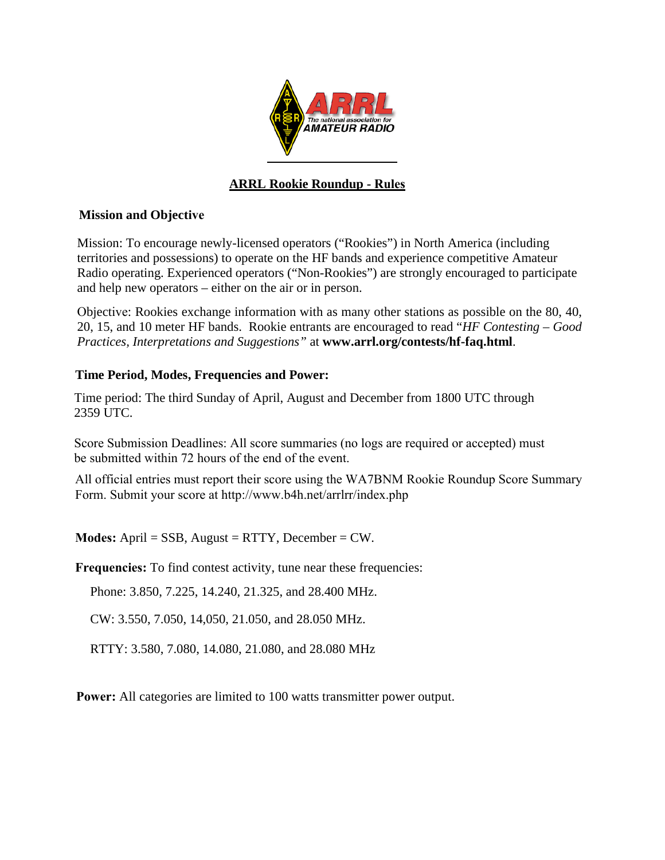

# **ARRL Rookie Roundup - Rules**

### **Mission and Objective**

Mission: To encourage newly-licensed operators ("Rookies") in North America (including territories and possessions) to operate on the HF bands and experience competitive Amateur Radio operating. Experienced operators ("Non-Rookies") are strongly encouraged to participate and help new operators – either on the air or in person.

Objective: Rookies exchange information with as many other stations as possible on the 80, 40, 20, 15, and 10 meter HF bands. Rookie entrants are encouraged to read "*HF Contesting – Good Practices, Interpretations and Suggestions"* at **www.arrl.org/contests/hf-faq.html**.

### **Time Period, Modes, Frequencies and Power:**

Time period: The third Sunday of April, August and December from 1800 UTC through 2359 UTC.

Score Submission Deadlines: All score summaries (no logs are required or accepted) must be submitted within 72 hours of the end of the event.

All official entries must report their score using the WA7BNM Rookie Roundup Score Summary Form. Submit your score at http://www.b4h.net/arrlrr/index.php

**Modes:** April = SSB, August = RTTY, December = CW.

**Frequencies:** To find contest activity, tune near these frequencies:

Phone: 3.850, 7.225, 14.240, 21.325, and 28.400 MHz.

CW: 3.550, 7.050, 14,050, 21.050, and 28.050 MHz.

RTTY: 3.580, 7.080, 14.080, 21.080, and 28.080 MHz

**Power:** All categories are limited to 100 watts transmitter power output.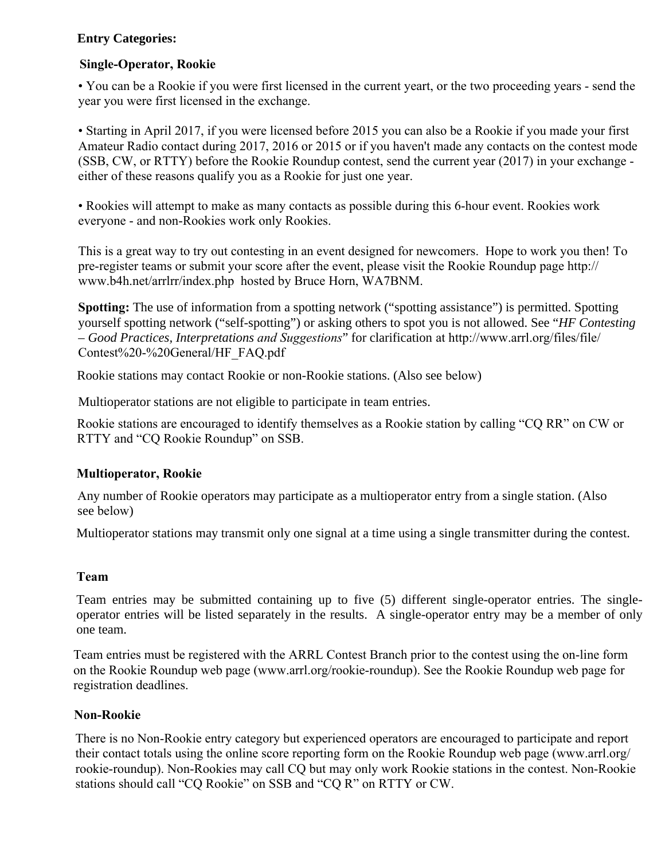# **Entry Categories:**

# **Single-Operator, Rookie**

• You can be a Rookie if you were first licensed in the current yeart, or the two proceeding years - send the year you were first licensed in the exchange.

• Starting in April 2017, if you were licensed before 2015 you can also be a Rookie if you made your first Amateur Radio contact during 2017, 2016 or 2015 or if you haven't made any contacts on the contest mode (SSB, CW, or RTTY) before the Rookie Roundup contest, send the current year (2017) in your exchange either of these reasons qualify you as a Rookie for just one year.

• Rookies will attempt to make as many contacts as possible during this 6-hour event. Rookies work everyone - and non-Rookies work only Rookies.

This is a great way to try out contesting in an event designed for newcomers. Hope to work you then! To pre-register teams or submit your score after the event, please visit the Rookie Roundup page http:// www.b4h.net/arrlrr/index.php hosted by Bruce Horn, WA7BNM.

**Spotting:** The use of information from a spotting network ("spotting assistance") is permitted. Spotting yourself spotting network ("self-spotting") or asking others to spot you is not allowed. See "*HF Contesting – Good Practices, Interpretations and Suggestions*" for clarification at http://www.arrl.org/files/file/ Contest%20-%20General/HF\_FAQ.pdf

Rookie stations may contact Rookie or non-Rookie stations. (Also see below)

Multioperator stations are not eligible to participate in team entries.

Rookie stations are encouraged to identify themselves as a Rookie station by calling "CQ RR" on CW or RTTY and "CQ Rookie Roundup" on SSB.

# **Multioperator, Rookie**

Any number of Rookie operators may participate as a multioperator entry from a single station. (Also see below)

Multioperator stations may transmit only one signal at a time using a single transmitter during the contest.

# **Team**

Team entries may be submitted containing up to five (5) different single-operator entries. The singleoperator entries will be listed separately in the results. A single-operator entry may be a member of only one team.

Team entries must be registered with the ARRL Contest Branch prior to the contest using the on-line form on the Rookie Roundup web page (www.arrl.org/rookie-roundup). See the Rookie Roundup web page for registration deadlines.

#### **Non-Rookie**

There is no Non-Rookie entry category but experienced operators are encouraged to participate and report their contact totals using the online score reporting form on the Rookie Roundup web page (www.arrl.org/ rookie-roundup). Non-Rookies may call CQ but may only work Rookie stations in the contest. Non-Rookie stations should call "CQ Rookie" on SSB and "CQ R" on RTTY or CW.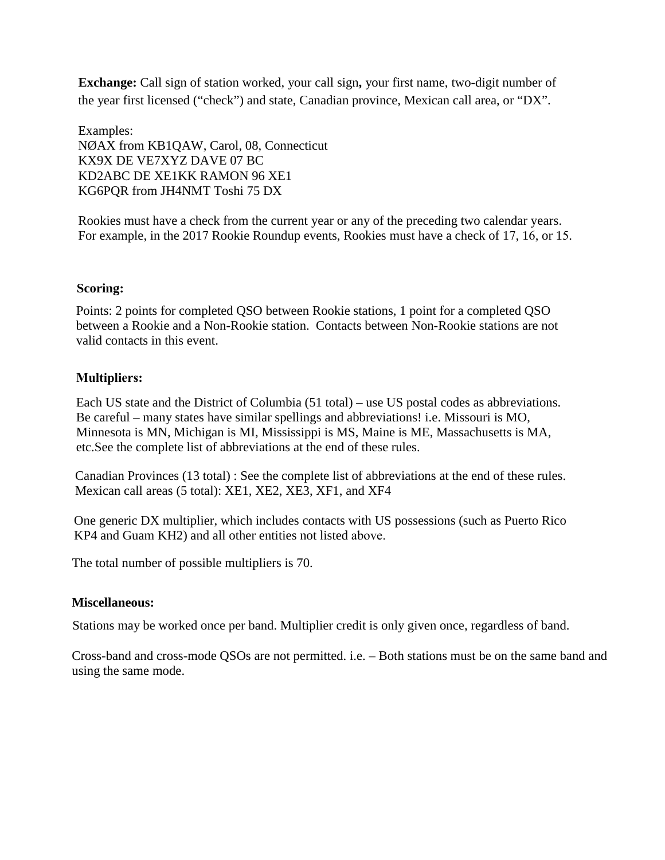**Exchange:** Call sign of station worked, your call sign**,** your first name, two-digit number of the year first licensed ("check") and state, Canadian province, Mexican call area, or "DX".

Examples: NØAX from KB1QAW, Carol, 08, Connecticut KX9X DE VE7XYZ DAVE 07 BC KD2ABC DE XE1KK RAMON 96 XE1 KG6PQR from JH4NMT Toshi 75 DX

Rookies must have a check from the current year or any of the preceding two calendar years. For example, in the 2017 Rookie Roundup events, Rookies must have a check of 17, 16, or 15.

### **Scoring:**

Points: 2 points for completed QSO between Rookie stations, 1 point for a completed QSO between a Rookie and a Non-Rookie station. Contacts between Non-Rookie stations are not valid contacts in this event.

### **Multipliers:**

Each US state and the District of Columbia (51 total) – use US postal codes as abbreviations. Be careful – many states have similar spellings and abbreviations! i.e. Missouri is MO, Minnesota is MN, Michigan is MI, Mississippi is MS, Maine is ME, Massachusetts is MA, etc.See the complete list of abbreviations at the end of these rules.

Canadian Provinces (13 total) : See the complete list of abbreviations at the end of these rules. Mexican call areas (5 total): XE1, XE2, XE3, XF1, and XF4

One generic DX multiplier, which includes contacts with US possessions (such as Puerto Rico KP4 and Guam KH2) and all other entities not listed above.

The total number of possible multipliers is 70.

#### **Miscellaneous:**

Stations may be worked once per band. Multiplier credit is only given once, regardless of band.

Cross-band and cross-mode QSOs are not permitted. i.e. – Both stations must be on the same band and using the same mode.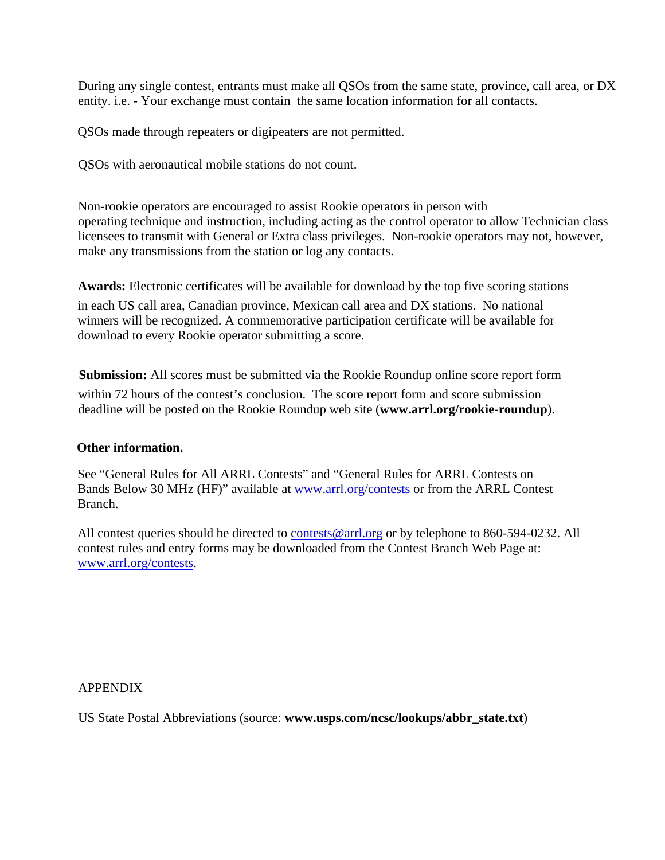During any single contest, entrants must make all QSOs from the same state, province, call area, or DX entity. i.e. - Your exchange must contain the same location information for all contacts.

QSOs made through repeaters or digipeaters are not permitted.

QSOs with aeronautical mobile stations do not count.

Non-rookie operators are encouraged to assist Rookie operators in person with operating technique and instruction, including acting as the control operator to allow Technician class licensees to transmit with General or Extra class privileges. Non-rookie operators may not, however, make any transmissions from the station or log any contacts.

**Awards:** Electronic certificates will be available for download by the top five scoring stations

in each US call area, Canadian province, Mexican call area and DX stations. No national winners will be recognized. A commemorative participation certificate will be available for download to every Rookie operator submitting a score.

**Submission:** All scores must be submitted via the Rookie Roundup online score report form within 72 hours of the contest's conclusion. The score report form and score submission deadline will be posted on the Rookie Roundup web site (**www.arrl.org/rookie-roundup**).

#### **Other information.**

See "General Rules for All ARRL Contests" and "General Rules for ARRL Contests on Bands Below 30 MHz (HF)" available at www.arrl.org/contests or from the ARRL Contest Branch.

All contest queries should be directed to contests@arrl.org or by telephone to 860-594-0232. All contest rules and entry forms may be do[wnloaded from the Conte](http://www.arrl.org/contests)st Branch Web Page at: www.arrl.org/contests.

APPENDIX

US State Postal Abbreviations (source: **www.usps.com/ncsc/lookups/abbr\_state.txt**)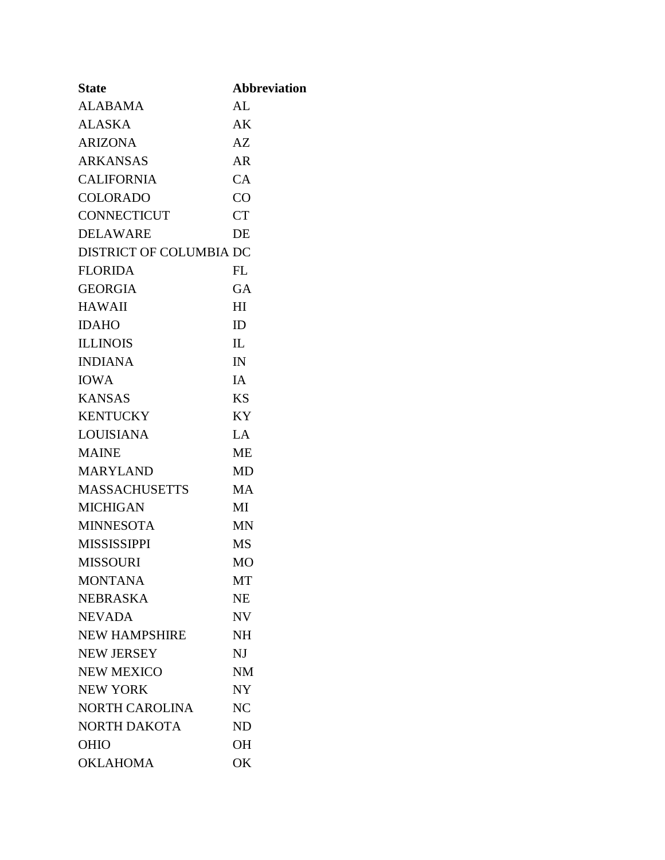| <b>State</b>            | <b>Abbreviation</b> |
|-------------------------|---------------------|
| <b>ALABAMA</b>          | AL                  |
| <b>ALASKA</b>           | AK                  |
| <b>ARIZONA</b>          | AZ                  |
| <b>ARKANSAS</b>         | AR                  |
| <b>CALIFORNIA</b>       | CA                  |
| <b>COLORADO</b>         | CO                  |
| <b>CONNECTICUT</b>      | <b>CT</b>           |
| <b>DELAWARE</b>         | DE                  |
| DISTRICT OF COLUMBIA DC |                     |
| <b>FLORIDA</b>          | FL                  |
| <b>GEORGIA</b>          | GA                  |
| <b>HAWAII</b>           | HI                  |
| <b>IDAHO</b>            | ID                  |
| <b>ILLINOIS</b>         | IL                  |
| <b>INDIANA</b>          | IN                  |
| <b>IOWA</b>             | <b>IA</b>           |
| <b>KANSAS</b>           | <b>KS</b>           |
| <b>KENTUCKY</b>         | <b>KY</b>           |
| <b>LOUISIANA</b>        | LA                  |
| <b>MAINE</b>            | <b>ME</b>           |
| <b>MARYLAND</b>         | <b>MD</b>           |
| <b>MASSACHUSETTS</b>    | <b>MA</b>           |
| <b>MICHIGAN</b>         | MI                  |
| <b>MINNESOTA</b>        | MN                  |
| <b>MISSISSIPPI</b>      | <b>MS</b>           |
| <b>MISSOURI</b>         | M <sub>O</sub>      |
| <b>MONTANA</b>          | MT                  |
| <b>NEBRASKA</b>         | <b>NE</b>           |
| <b>NEVADA</b>           | <b>NV</b>           |
| <b>NEW HAMPSHIRE</b>    | <b>NH</b>           |
| <b>NEW JERSEY</b>       | $N_{\rm J}$         |
| <b>NEW MEXICO</b>       | <b>NM</b>           |
| <b>NEW YORK</b>         | <b>NY</b>           |
| <b>NORTH CAROLINA</b>   | NC                  |
| <b>NORTH DAKOTA</b>     | <b>ND</b>           |
| <b>OHIO</b>             | <b>OH</b>           |
| <b>OKLAHOMA</b>         | OK                  |